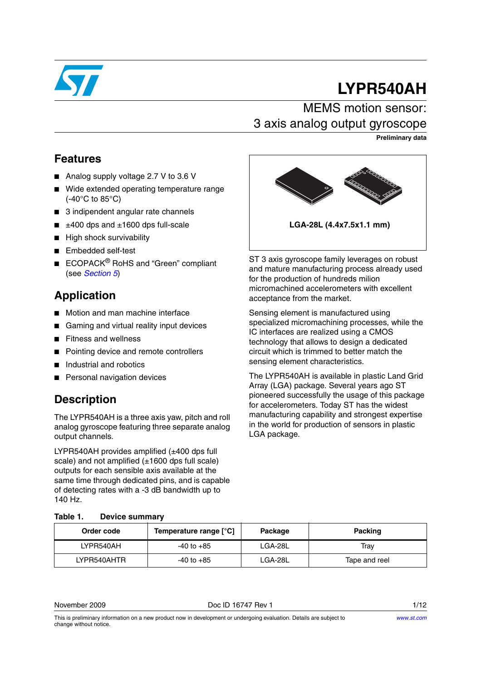

# **LYPR540AH**

## MEMS motion sensor: 3 axis analog output gyroscope

**Preliminary data**

#### **Features**

- Analog supply voltage 2.7 V to 3.6 V
- Wide extended operating temperature range (-40°C to 85°C)
- 3 indipendent angular rate channels
- $±400$  dps and  $±1600$  dps full-scale
- High shock survivability
- Embedded self-test
- $\blacksquare$  ECOPACK $^\circledR$  RoHS and "Green" compliant (see *[Section 5](#page-9-0)*)

### **Application**

- Motion and man machine interface
- Gaming and virtual reality input devices
- **Fitness and wellness**
- Pointing device and remote controllers
- Industrial and robotics
- Personal navigation devices

## **Description**

The LYPR540AH is a three axis yaw, pitch and roll analog gyroscope featuring three separate analog output channels.

LYPR540AH provides amplified (±400 dps full scale) and not amplified  $(\pm 1600$  dps full scale) outputs for each sensible axis available at the same time through dedicated pins, and is capable of detecting rates with a -3 dB bandwidth up to 140 Hz.



ST 3 axis gyroscope family leverages on robust and mature manufacturing process already used for the production of hundreds milion micromachined accelerometers with excellent acceptance from the market.

Sensing element is manufactured using specialized micromachining processes, while the IC interfaces are realized using a CMOS technology that allows to design a dedicated circuit which is trimmed to better match the sensing element characteristics.

The LYPR540AH is available in plastic Land Grid Array (LGA) package. Several years ago ST pioneered successfully the usage of this package for accelerometers. Today ST has the widest manufacturing capability and strongest expertise in the world for production of sensors in plastic LGA package.

#### **Table 1. Device summary**

| Order code  | Temperature range [°C] | Package | <b>Packing</b> |
|-------------|------------------------|---------|----------------|
| LYPR540AH   | $-40$ to $+85$         | LGA-28L | Trav           |
| LYPR540AHTR | $-40$ to $+85$         | LGA-28L | Tape and reel  |

November 2009 **Doce ID 16747 Rev 1** 1/12

This is preliminary information on a new product now in development or undergoing evaluation. Details are subject to change without notice.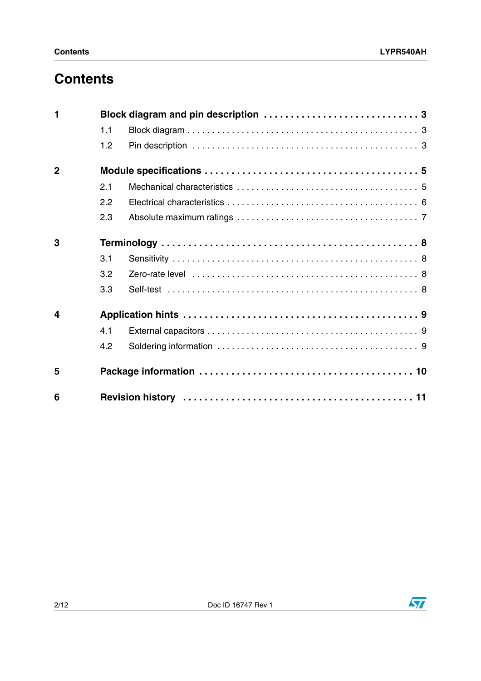# **Contents**

| 1                       |     |  |
|-------------------------|-----|--|
|                         | 1.1 |  |
|                         | 1.2 |  |
| $\overline{2}$          |     |  |
|                         | 2.1 |  |
|                         | 2.2 |  |
|                         | 2.3 |  |
| 3                       |     |  |
|                         | 3.1 |  |
|                         | 3.2 |  |
|                         | 3.3 |  |
| $\overline{\mathbf{4}}$ |     |  |
|                         | 4.1 |  |
|                         | 4.2 |  |
| 5                       |     |  |
| 6                       |     |  |

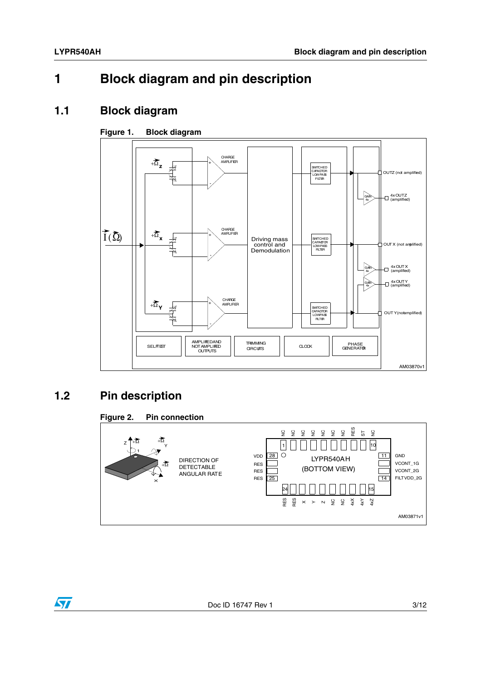# <span id="page-2-0"></span>**1 Block diagram and pin description**

#### <span id="page-2-1"></span>**1.1 Block diagram**

#### **Figure 1. Block diagram**



# <span id="page-2-2"></span>**1.2 Pin description**



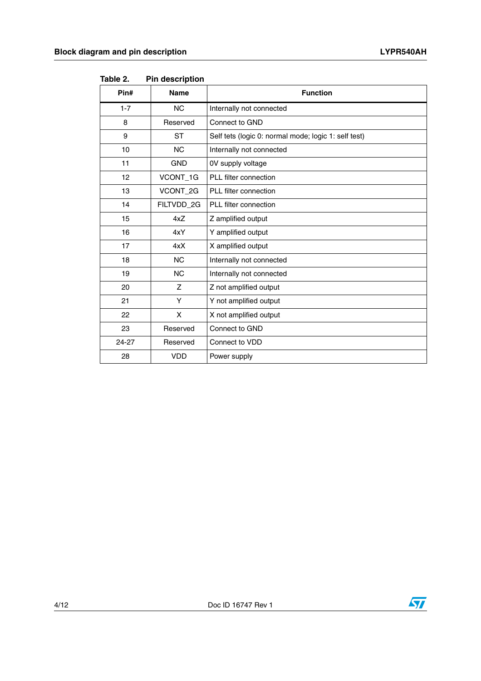|         | ו ווי טטטש ווו |                                                      |
|---------|----------------|------------------------------------------------------|
| Pin#    | <b>Name</b>    | <b>Function</b>                                      |
| $1 - 7$ | <b>NC</b>      | Internally not connected                             |
| 8       | Reserved       | Connect to GND                                       |
| 9       | <b>ST</b>      | Self tets (logic 0: normal mode; logic 1: self test) |
| 10      | <b>NC</b>      | Internally not connected                             |
| 11      | <b>GND</b>     | 0V supply voltage                                    |
| 12      | VCONT_1G       | PLL filter connection                                |
| 13      | VCONT_2G       | PLL filter connection                                |
| 14      | FILTVDD_2G     | PLL filter connection                                |
| 15      | 4xZ            | Z amplified output                                   |
| 16      | 4xY            | Y amplified output                                   |
| 17      | 4xX            | X amplified output                                   |
| 18      | <b>NC</b>      | Internally not connected                             |
| 19      | <b>NC</b>      | Internally not connected                             |
| 20      | Z              | Z not amplified output                               |
| 21      | Y              | Y not amplified output                               |
| 22      | X              | X not amplified output                               |
| 23      | Reserved       | Connect to GND                                       |
| 24-27   | Reserved       | Connect to VDD                                       |
| 28      | <b>VDD</b>     | Power supply                                         |
|         |                |                                                      |

Table 2. **Pin description** 

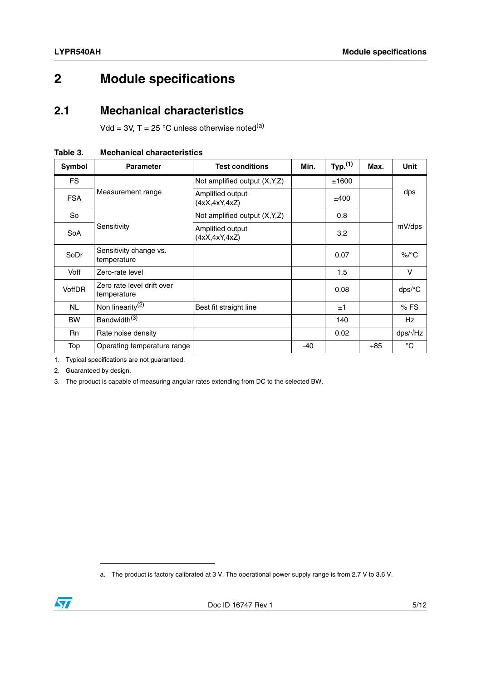# <span id="page-4-0"></span>**2 Module specifications**

#### <span id="page-4-1"></span>**2.1 Mechanical characteristics**

Vdd = 3V,  $T = 25$  °C unless otherwise noted<sup>(a)</sup>

**Table 3. Mechanical characteristics**

| Symbol     | <b>Parameter</b>                          | <b>Test conditions</b>              | Min. | Typ. <sup>(1)</sup> | Max.  | <b>Unit</b>          |
|------------|-------------------------------------------|-------------------------------------|------|---------------------|-------|----------------------|
| <b>FS</b>  |                                           | Not amplified output (X,Y,Z)        |      | ±1600               |       |                      |
| <b>FSA</b> | Measurement range                         | Amplified output<br>(4xX, 4xY, 4xZ) |      | ±400                |       | dps                  |
| So         |                                           | Not amplified output (X,Y,Z)        |      | 0.8                 |       |                      |
| SoA        | Sensitivity                               | Amplified output<br>(4xX, 4xY, 4xZ) |      | 3.2                 |       | mV/dps               |
| SoDr       | Sensitivity change vs.<br>temperature     |                                     |      | 0.07                |       | $\%$ /°C             |
| Voff       | Zero-rate level                           |                                     |      | 1.5                 |       | V                    |
| VoffDR     | Zero rate level drift over<br>temperature |                                     |      | 0.08                |       | $dps$ <sup>o</sup> C |
| <b>NL</b>  | Non linearity <sup>(2)</sup>              | Best fit straight line              |      | ±1                  |       | %FS                  |
| <b>BW</b>  | Bandwidth <sup>(3)</sup>                  |                                     |      | 140                 |       | Hz                   |
| <b>Rn</b>  | Rate noise density                        |                                     |      | 0.02                |       | $\frac{dp}{dx}$      |
| Top        | Operating temperature range               |                                     | -40  |                     | $+85$ | $^{\circ}C$          |

1. Typical specifications are not guaranteed.

2. Guaranteed by design.

3. The product is capable of measuring angular rates extending from DC to the selected BW.

a. The product is factory calibrated at 3 V. The operational power supply range is from 2.7 V to 3.6 V.

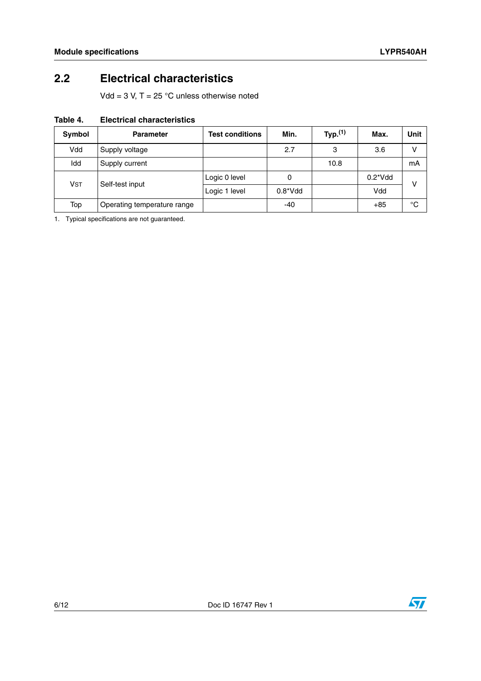## <span id="page-5-0"></span>**2.2 Electrical characteristics**

Vdd =  $3$  V, T =  $25$  °C unless otherwise noted

| Table 4. | <b>Electrical characteristics</b> |
|----------|-----------------------------------|
|          |                                   |

| <b>Symbol</b>         | <b>Parameter</b>            | <b>Test conditions</b> | Min.        | Typ. <sup>(1)</sup> | Max.        | Unit |
|-----------------------|-----------------------------|------------------------|-------------|---------------------|-------------|------|
| Vdd                   | Supply voltage              |                        | 2.7         | 3                   | 3.6         | v    |
| Idd                   | Supply current              |                        |             | 10.8                |             | mΑ   |
| <b>V<sub>ST</sub></b> | Self-test input             | Logic 0 level          | 0           |                     | $0.2^*V$ dd | v    |
|                       |                             | Logic 1 level          | $0.8^*V$ dd |                     | Vdd         |      |
| Top                   | Operating temperature range |                        | -40         |                     | $+85$       | °C   |

1. Typical specifications are not guaranteed.

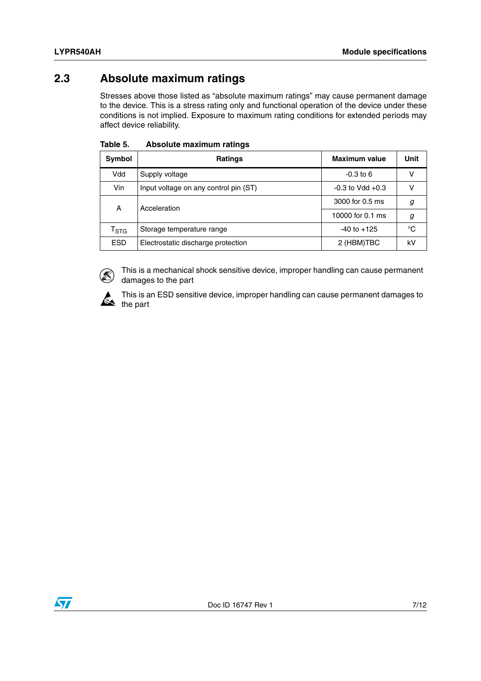#### <span id="page-6-0"></span>**2.3 Absolute maximum ratings**

Stresses above those listed as "absolute maximum ratings" may cause permanent damage to the device. This is a stress rating only and functional operation of the device under these conditions is not implied. Exposure to maximum rating conditions for extended periods may affect device reliability.

| Symbol                    | <b>Ratings</b>                        | Maximum value        | Unit |
|---------------------------|---------------------------------------|----------------------|------|
| Vdd                       | Supply voltage                        | $-0.3$ to 6          |      |
| Vin                       | Input voltage on any control pin (ST) | $-0.3$ to Vdd $+0.3$ | v    |
| Α                         | Acceleration                          | 3000 for 0.5 ms      | g    |
|                           |                                       | 10000 for 0.1 ms     | g    |
| $\mathsf{T}_{\text{STG}}$ | Storage temperature range             | $-40$ to $+125$      | °C   |
| <b>ESD</b>                | Electrostatic discharge protection    | 2 (HBM)TBC           | kV   |

| Table 5. | <b>Absolute maximum ratings</b> |  |
|----------|---------------------------------|--|
|          |                                 |  |



This is a mechanical shock sensitive device, improper handling can cause permanent damages to the part



This is an ESD sensitive device, improper handling can cause permanent damages to the part

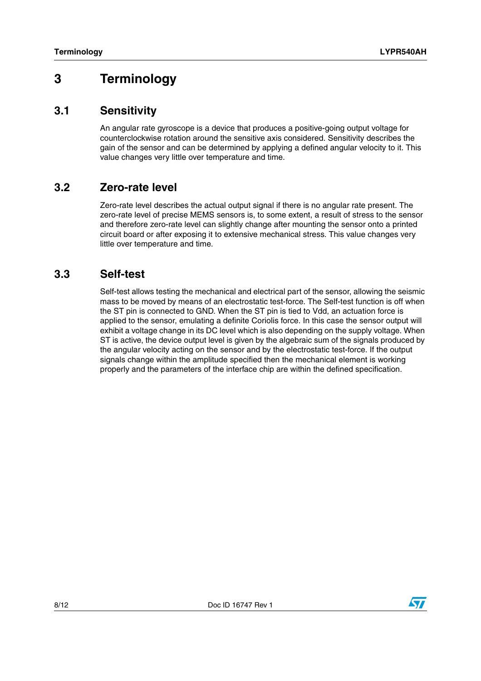# <span id="page-7-0"></span>**3 Terminology**

#### <span id="page-7-1"></span>**3.1 Sensitivity**

An angular rate gyroscope is a device that produces a positive-going output voltage for counterclockwise rotation around the sensitive axis considered. Sensitivity describes the gain of the sensor and can be determined by applying a defined angular velocity to it. This value changes very little over temperature and time.

#### <span id="page-7-2"></span>**3.2 Zero-rate level**

Zero-rate level describes the actual output signal if there is no angular rate present. The zero-rate level of precise MEMS sensors is, to some extent, a result of stress to the sensor and therefore zero-rate level can slightly change after mounting the sensor onto a printed circuit board or after exposing it to extensive mechanical stress. This value changes very little over temperature and time.

#### <span id="page-7-3"></span>**3.3 Self-test**

Self-test allows testing the mechanical and electrical part of the sensor, allowing the seismic mass to be moved by means of an electrostatic test-force. The Self-test function is off when the ST pin is connected to GND. When the ST pin is tied to Vdd, an actuation force is applied to the sensor, emulating a definite Coriolis force. In this case the sensor output will exhibit a voltage change in its DC level which is also depending on the supply voltage. When ST is active, the device output level is given by the algebraic sum of the signals produced by the angular velocity acting on the sensor and by the electrostatic test-force. If the output signals change within the amplitude specified then the mechanical element is working properly and the parameters of the interface chip are within the defined specification.

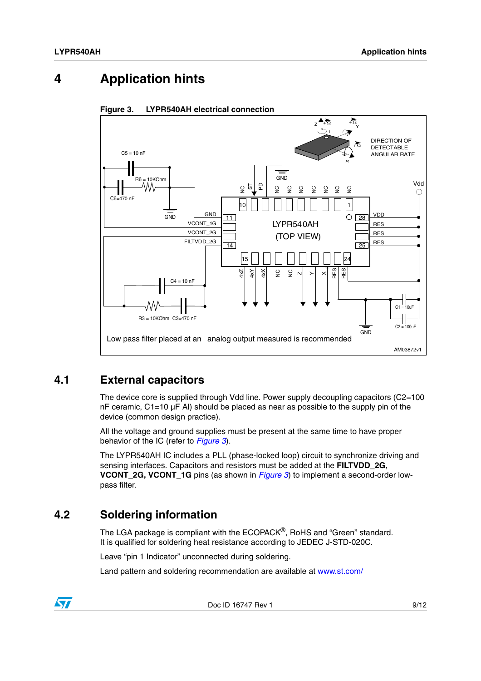# <span id="page-8-0"></span>**4 Application hints**



<span id="page-8-3"></span>**Figure 3. LYPR540AH electrical connection**

#### <span id="page-8-1"></span>**4.1 External capacitors**

The device core is supplied through Vdd line. Power supply decoupling capacitors (C2=100  $nF$  ceramic, C1=10  $\mu$ F Al) should be placed as near as possible to the supply pin of the device (common design practice).

All the voltage and ground supplies must be present at the same time to have proper behavior of the IC (refer to *[Figure 3](#page-8-3)*).

The LYPR540AH IC includes a PLL (phase-locked loop) circuit to synchronize driving and sensing interfaces. Capacitors and resistors must be added at the **FILTVDD\_2G**, **VCONT\_2G, VCONT\_1G** pins (as shown in *[Figure 3](#page-8-3)*) to implement a second-order lowpass filter.

#### <span id="page-8-2"></span>**4.2 Soldering information**

The LGA package is compliant with the ECOPACK®, RoHS and "Green" standard. It is qualified for soldering heat resistance according to JEDEC J-STD-020C.

Leave "pin 1 Indicator" unconnected during soldering.

Land pattern and soldering recommendation are available at www.st.com/

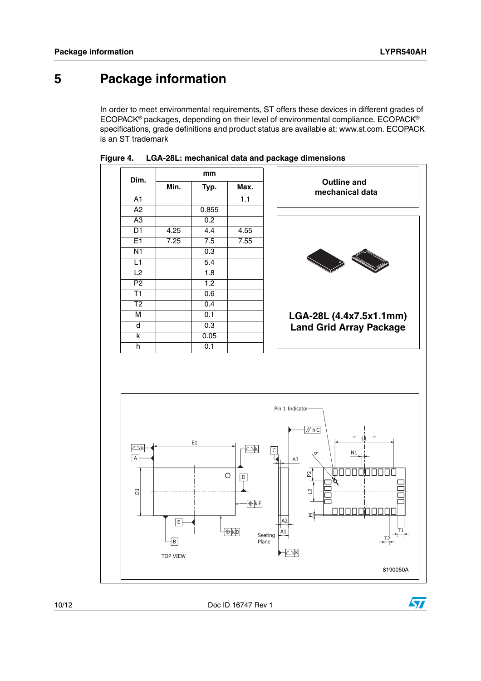# <span id="page-9-0"></span>**5 Package information**

In order to meet environmental requirements, ST offers these devices in different grades of ECOPACK® packages, depending on their level of environmental compliance. ECOPACK® specifications, grade definitions and product status are available at: www.st.com. ECOPACK is an ST trademark



**Figure 4. LGA-28L: mechanical data and package dimensions**



10/12 Doc ID 16747 Rev 1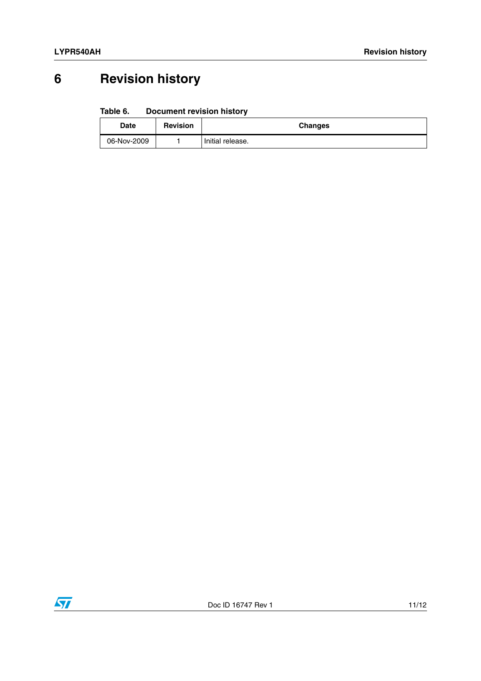# <span id="page-10-0"></span>**6 Revision history**

#### Table 6. **Document revision history**

| Date        | <b>Revision</b> | <b>Changes</b>   |
|-------------|-----------------|------------------|
| 06-Nov-2009 |                 | Initial release. |